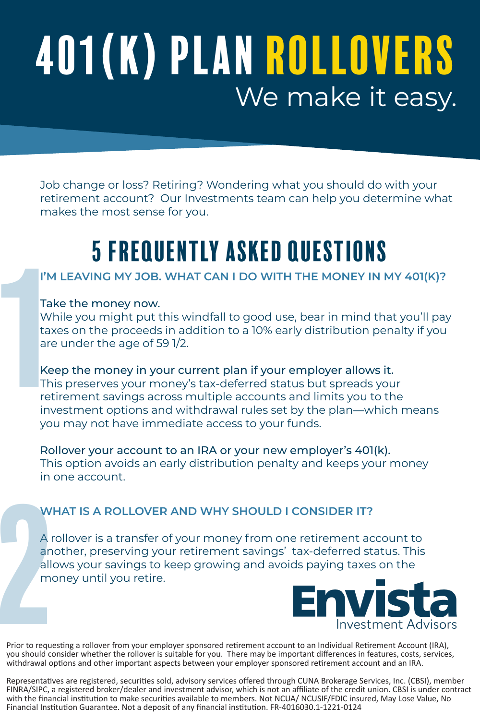# 401(K) Plan Rollovers We make it easy.

Job change or loss? Retiring? Wondering what you should do with your retirement account? Our Investments team can help you determine what makes the most sense for you.

# 5 frequently asked questions

# **I'M LEAVING MY JOB. WHAT CAN I DO WITH THE MONEY IN MY 401(K)?**

#### Take the money now.

While you might put this windfall to good use, bear in mind that you'll pay taxes on the proceeds in addition to a 10% early distribution penalty if you are under the age of 59 1/2.

Keep the money in your current plan if your employer allows it. This preserves your money's tax-deferred status but spreads your retirement savings across multiple accounts and limits you to the investment options and withdrawal rules set by the plan—which means you may not have immediate access to your funds. I'M I<br>
Take<br>
Whi<br>
taxe<br>
are<br>
He <br>
Kee<br>
This<br>
retir<br>
inve

Rollover your account to an IRA or your new employer's 401(k). This option avoids an early distribution penalty and keeps your money in one account.

## **WHAT IS A ROLLOVER AND WHY SHOULD I CONSIDER IT?**

A rollover is a transfer of your money from one retirement account to another, preserving your retirement savings' tax-deferred status. This allows your savings to keep growing and avoids paying taxes on the WHAT IS A ROLLOVER<br>
A rollover is a transfer o<br>
another, preserving you<br>
allows your savings to k<br>
money until you retire.<br>
Prior to requesting a rollover from your empl



Prior to requesting a rollover from your employer sponsored retirement account to an Individual Retirement Account (IRA), you should consider whether the rollover is suitable for you. There may be important differences in features, costs, services, withdrawal options and other important aspects between your employer sponsored retirement account and an IRA.

Representatives are registered, securities sold, advisory services offered through CUNA Brokerage Services, Inc. (CBSI), member FINRA/SIPC, a registered broker/dealer and investment advisor, which is not an affiliate of the credit union. CBSI is under contract with the financial institution to make securities available to members. Not NCUA/ NCUSIF/FDIC insured, May Lose Value, No Financial Institution Guarantee. Not a deposit of any financial institution. FR-4016030.1-1221-0124